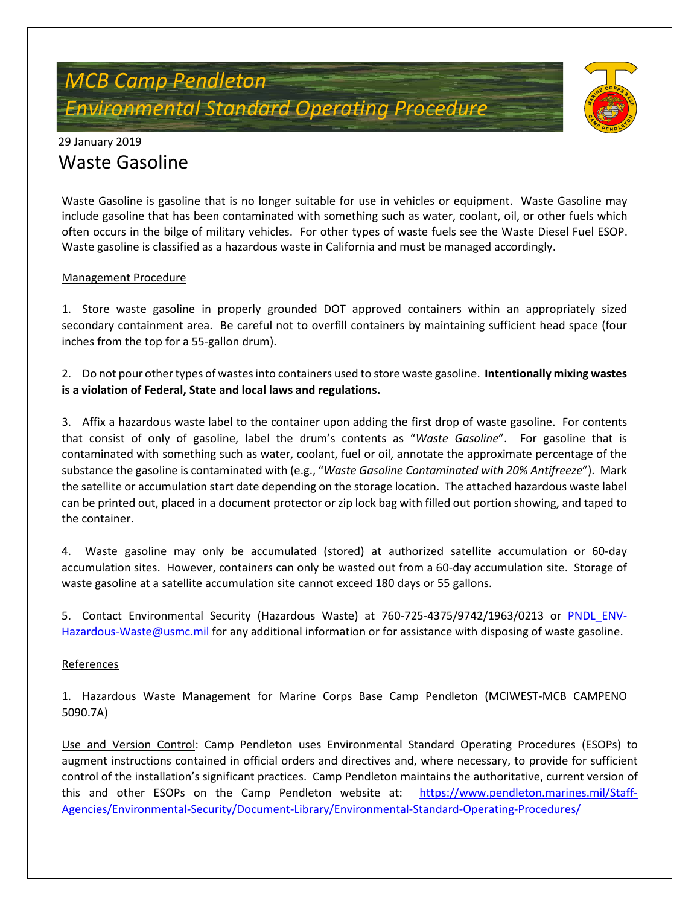# *MCB Camp Pendleton Environmental Standard Operating Procedure*



### 29 January 2019 Waste Gasoline

Waste Gasoline is gasoline that is no longer suitable for use in vehicles or equipment. Waste Gasoline may include gasoline that has been contaminated with something such as water, coolant, oil, or other fuels which often occurs in the bilge of military vehicles. For other types of waste fuels see the Waste Diesel Fuel ESOP. Waste gasoline is classified as a hazardous waste in California and must be managed accordingly.

#### Management Procedure

1. Store waste gasoline in properly grounded DOT approved containers within an appropriately sized secondary containment area. Be careful not to overfill containers by maintaining sufficient head space (four inches from the top for a 55-gallon drum).

2. Do not pour other types of wastes into containers used to store waste gasoline. **Intentionally mixing wastes is a violation of Federal, State and local laws and regulations.**

3. Affix a hazardous waste label to the container upon adding the first drop of waste gasoline. For contents that consist of only of gasoline, label the drum's contents as "*Waste Gasoline*". For gasoline that is contaminated with something such as water, coolant, fuel or oil, annotate the approximate percentage of the substance the gasoline is contaminated with (e.g., "*Waste Gasoline Contaminated with 20% Antifreeze*"). Mark the satellite or accumulation start date depending on the storage location. The attached hazardous waste label can be printed out, placed in a document protector or zip lock bag with filled out portion showing, and taped to the container.

4. Waste gasoline may only be accumulated (stored) at authorized satellite accumulation or 60-day accumulation sites. However, containers can only be wasted out from a 60-day accumulation site. Storage of waste gasoline at a satellite accumulation site cannot exceed 180 days or 55 gallons.

5. Contact Environmental Security (Hazardous Waste) at 760-725-4375/9742/1963/0213 or [PNDL\\_ENV-](mailto:PNDL_ENV-Hazardous-Waste@usmc.mil)[Hazardous-Waste@usmc.mil](mailto:PNDL_ENV-Hazardous-Waste@usmc.mil) for any additional information or for assistance with disposing of waste gasoline.

#### References

1. Hazardous Waste Management for Marine Corps Base Camp Pendleton (MCIWEST-MCB CAMPENO 5090.7A)

Use and Version Control: Camp Pendleton uses Environmental Standard Operating Procedures (ESOPs) to augment instructions contained in official orders and directives and, where necessary, to provide for sufficient control of the installation's significant practices. Camp Pendleton maintains the authoritative, current version of this and other ESOPs on the Camp Pendleton website at: [https://www.pendleton.marines.mil/Staff-](https://www.pendleton.marines.mil/Staff-Agencies/Environmental-Security/Document-Library/Environmental-Standard-Operating-Procedures/)[Agencies/Environmental-Security/Document-Library/Environmental-Standard-Operating-Procedures/](https://www.pendleton.marines.mil/Staff-Agencies/Environmental-Security/Document-Library/Environmental-Standard-Operating-Procedures/)